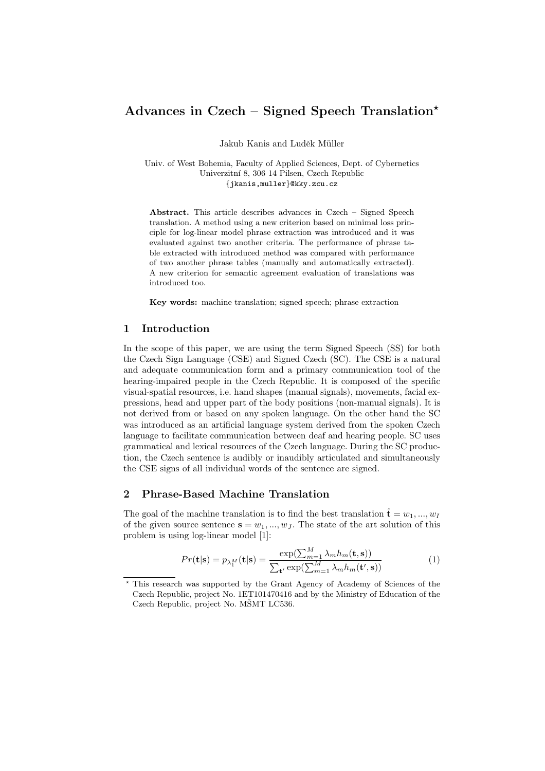# Advances in Czech – Signed Speech Translation<sup>\*</sup>

Jakub Kanis and Luděk Müller

Univ. of West Bohemia, Faculty of Applied Sciences, Dept. of Cybernetics Univerzitní 8, 306 14 Pilsen, Czech Republic {jkanis,muller}@kky.zcu.cz

Abstract. This article describes advances in Czech – Signed Speech translation. A method using a new criterion based on minimal loss principle for log-linear model phrase extraction was introduced and it was evaluated against two another criteria. The performance of phrase table extracted with introduced method was compared with performance of two another phrase tables (manually and automatically extracted). A new criterion for semantic agreement evaluation of translations was introduced too.

Key words: machine translation; signed speech; phrase extraction

#### 1 Introduction

In the scope of this paper, we are using the term Signed Speech (SS) for both the Czech Sign Language (CSE) and Signed Czech (SC). The CSE is a natural and adequate communication form and a primary communication tool of the hearing-impaired people in the Czech Republic. It is composed of the specific visual-spatial resources, i.e. hand shapes (manual signals), movements, facial expressions, head and upper part of the body positions (non-manual signals). It is not derived from or based on any spoken language. On the other hand the SC was introduced as an artificial language system derived from the spoken Czech language to facilitate communication between deaf and hearing people. SC uses grammatical and lexical resources of the Czech language. During the SC production, the Czech sentence is audibly or inaudibly articulated and simultaneously the CSE signs of all individual words of the sentence are signed.

### 2 Phrase-Based Machine Translation

The goal of the machine translation is to find the best translation  $\hat{\mathbf{t}} = w_1, ..., w_I$ of the given source sentence  $\mathbf{s} = w_1, ..., w_J$ . The state of the art solution of this problem is using log-linear model [1]:

$$
Pr(\mathbf{t}|\mathbf{s}) = p_{\lambda_1^M}(\mathbf{t}|\mathbf{s}) = \frac{\exp(\sum_{m=1}^M \lambda_m h_m(\mathbf{t}, \mathbf{s}))}{\sum_{\mathbf{t}'} \exp(\sum_{m=1}^M \lambda_m h_m(\mathbf{t}', \mathbf{s}))}
$$
(1)

<sup>⋆</sup> This research was supported by the Grant Agency of Academy of Sciences of the Czech Republic, project No. 1ET101470416 and by the Ministry of Education of the Czech Republic, project No. MŠMT LC536.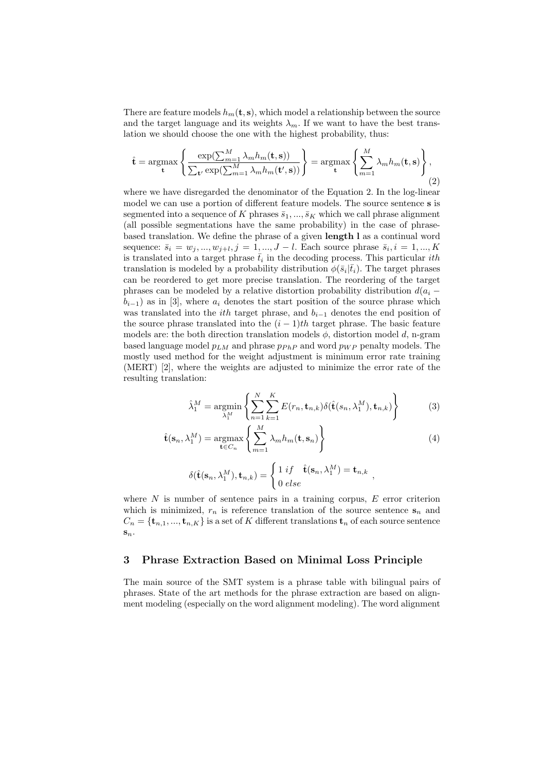There are feature models  $h_m(\mathbf{t}, \mathbf{s})$ , which model a relationship between the source and the target language and its weights  $\lambda_m$ . If we want to have the best translation we should choose the one with the highest probability, thus:

$$
\hat{\mathbf{t}} = \underset{\mathbf{t}}{\operatorname{argmax}} \left\{ \frac{\exp(\sum_{m=1}^{M} \lambda_m h_m(\mathbf{t}, \mathbf{s}))}{\sum_{\mathbf{t}'} \exp(\sum_{m=1}^{M} \lambda_m h_m(\mathbf{t}', \mathbf{s}))} \right\} = \underset{\mathbf{t}}{\operatorname{argmax}} \left\{ \sum_{m=1}^{M} \lambda_m h_m(\mathbf{t}, \mathbf{s}) \right\},\tag{2}
$$

where we have disregarded the denominator of the Equation 2. In the log-linear model we can use a portion of different feature models. The source sentence s is segmented into a sequence of K phrases  $\bar{s}_1, ..., \bar{s}_K$  which we call phrase alignment (all possible segmentations have the same probability) in the case of phrasebased translation. We define the phrase of a given length l as a continual word sequence:  $\bar{s}_i = w_j, ..., w_{j+l}, j = 1, ..., J-l$ . Each source phrase  $\bar{s}_i, i = 1, ..., K$ is translated into a target phrase  $\bar{t}_i$  in the decoding process. This particular *ith* translation is modeled by a probability distribution  $\phi(\bar{s}_i|\bar{t}_i)$ . The target phrases can be reordered to get more precise translation. The reordering of the target phrases can be modeled by a relative distortion probability distribution  $d(a_i$  $b_{i-1}$ ) as in [3], where  $a_i$  denotes the start position of the source phrase which was translated into the *ith* target phrase, and  $b_{i-1}$  denotes the end position of the source phrase translated into the  $(i - 1)$ th target phrase. The basic feature models are: the both direction translation models  $\phi$ , distortion model d, n-gram based language model  $p_{LM}$  and phrase  $p_{PhP}$  and word  $p_{WP}$  penalty models. The mostly used method for the weight adjustment is minimum error rate training (MERT) [2], where the weights are adjusted to minimize the error rate of the resulting translation:

$$
\hat{\lambda}_1^M = \underset{\lambda_1^M}{\text{argmin}} \left\{ \sum_{n=1}^N \sum_{k=1}^K E(r_n, \mathbf{t}_{n,k}) \delta(\hat{\mathbf{t}}(s_n, \lambda_1^M), \mathbf{t}_{n,k}) \right\} \tag{3}
$$

,

$$
\hat{\mathbf{t}}(\mathbf{s}_n, \lambda_1^M) = \underset{\mathbf{t} \in C_n}{\operatorname{argmax}} \left\{ \sum_{m=1}^M \lambda_m h_m(\mathbf{t}, \mathbf{s}_n) \right\} \tag{4}
$$

$$
\delta(\hat{\mathbf{t}}(\mathbf{s}_n, \lambda_1^M), \mathbf{t}_{n,k}) = \begin{cases} 1 \text{ if } \hat{\mathbf{t}}(\mathbf{s}_n, \lambda_1^M) = \mathbf{t}_{n,k} \\ 0 \text{ else } \end{cases}
$$

where  $N$  is number of sentence pairs in a training corpus,  $E$  error criterion which is minimized,  $r_n$  is reference translation of the source sentence  $s_n$  and  $C_n = {\mathbf{t}_{n,1}, ..., \mathbf{t}_{n,K}}$  is a set of K different translations  $\mathbf{t}_n$  of each source sentence  $\mathbf{s}_n$ .

### 3 Phrase Extraction Based on Minimal Loss Principle

The main source of the SMT system is a phrase table with bilingual pairs of phrases. State of the art methods for the phrase extraction are based on alignment modeling (especially on the word alignment modeling). The word alignment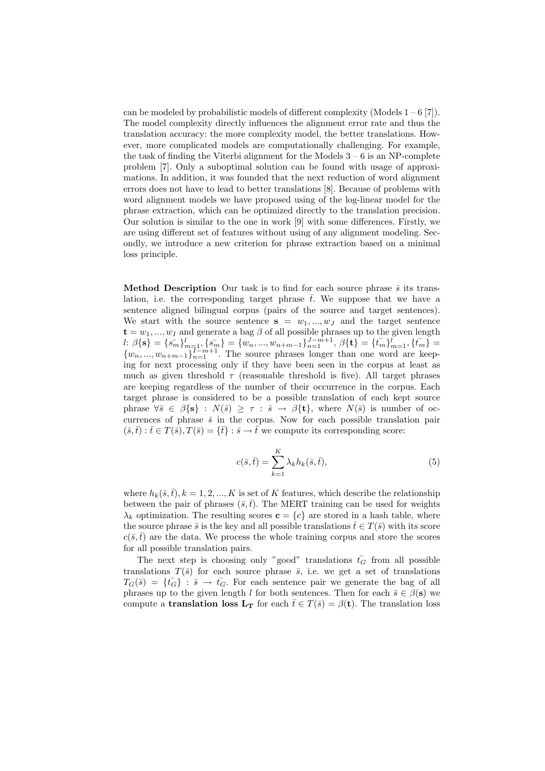can be modeled by probabilistic models of different complexity (Models  $1 - 6$  [7]). The model complexity directly influences the alignment error rate and thus the translation accuracy: the more complexity model, the better translations. However, more complicated models are computationally challenging. For example, the task of finding the Viterbi alignment for the Models  $3 - 6$  is an NP-complete problem [7]. Only a suboptimal solution can be found with usage of approximations. In addition, it was founded that the next reduction of word alignment errors does not have to lead to better translations [8]. Because of problems with word alignment models we have proposed using of the log-linear model for the phrase extraction, which can be optimized directly to the translation precision. Our solution is similar to the one in work [9] with some differences. Firstly, we are using different set of features without using of any alignment modeling. Secondly, we introduce a new criterion for phrase extraction based on a minimal loss principle.

**Method Description** Our task is to find for each source phrase  $\bar{s}$  its translation, i.e. the corresponding target phrase  $\bar{t}$ . We suppose that we have a sentence aligned bilingual corpus (pairs of the source and target sentences). We start with the source sentence  $s = w_1, ..., w_J$  and the target sentence  $\mathbf{t} = w_1, ..., w_I$  and generate a bag  $\beta$  of all possible phrases up to the given length  $l\colon \beta\{\mathbf{s}\}=\{\bar{s_m}\}_{m=1}^l, \{\bar{s_m}\}=\{w_n,...,w_{n+m-1}\}_{n=1}^{J-m+1},\, \beta\{\mathbf{t}\}=\{\bar{t_m}\}_{m=1}^l, \{\bar{t_m}\}=$  ${w_n, ..., w_{n+m-1}}_{n=1}^{I-m+1}$ . The source phrases longer than one word are keeping for next processing only if they have been seen in the corpus at least as much as given threshold  $\tau$  (reasonable threshold is five). All target phrases are keeping regardless of the number of their occurrence in the corpus. Each target phrase is considered to be a possible translation of each kept source phrase  $\forall \bar{s} \in \beta \{s\} : N(\bar{s}) \geq \tau : \bar{s} \to \beta \{t\},\$  where  $N(\bar{s})$  is number of occurrences of phrase  $\bar{s}$  in the corpus. Now for each possible translation pair  $(\bar{s},\bar{t}): \bar{t} \in T(\bar{s}), T(\bar{s}) = {\bar{t}} \cdot \bar{s} \rightarrow \tilde{t}$  we compute its corresponding score:

$$
c(\bar{s}, \bar{t}) = \sum_{k=1}^{K} \lambda_k h_k(\bar{s}, \bar{t}),
$$
\n(5)

where  $h_k(\bar{s},\bar{t}), k = 1, 2, ..., K$  is set of K features, which describe the relationship between the pair of phrases  $(\bar{s},\bar{t})$ . The MERT training can be used for weights  $\lambda_k$  optimization. The resulting scores  $\mathbf{c} = \{c\}$  are stored in a hash table, where the source phrase  $\bar{s}$  is the key and all possible translations  $\bar{t} \in T(\bar{s})$  with its score  $c(\bar{s},\bar{t})$  are the data. We process the whole training corpus and store the scores for all possible translation pairs.

The next step is choosing only "good" translations  $\bar{t}_G$  from all possible translations  $T(\bar{s})$  for each source phrase  $\bar{s}$ , i.e. we get a set of translations  $T_G(\bar{s}) = {\{\bar{t}_G\}} : \bar{s} \to \bar{t}_G$ . For each sentence pair we generate the bag of all phrases up to the given length l for both sentences. Then for each  $\bar{s} \in \beta(\mathbf{s})$  we compute a **translation loss**  $L_T$  for each  $\bar{t} \in T(\bar{s}) = \beta(t)$ . The translation loss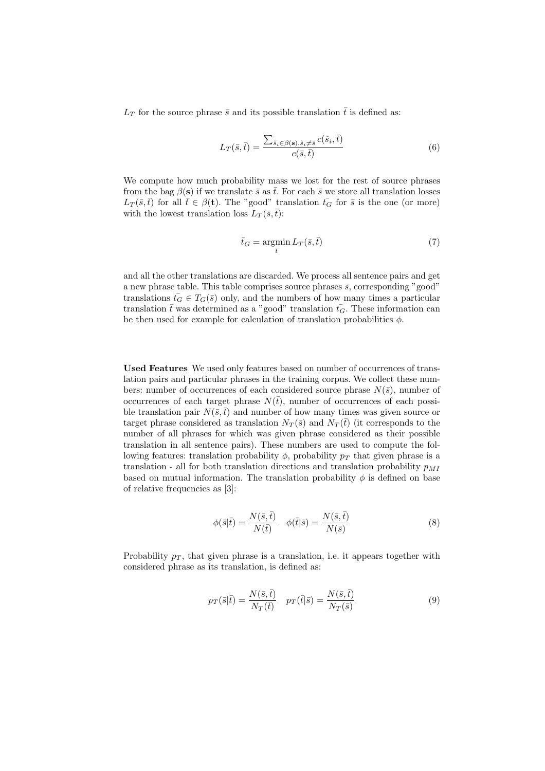$L_T$  for the source phrase  $\bar{s}$  and its possible translation  $\bar{t}$  is defined as:

$$
L_T(\bar{s}, \bar{t}) = \frac{\sum_{\tilde{s}_i \in \beta(\mathbf{s}), \tilde{s}_i \neq \bar{s}} c(\tilde{s}_i, \bar{t})}{c(\bar{s}, \bar{t})}
$$
(6)

We compute how much probability mass we lost for the rest of source phrases from the bag  $\beta(\mathbf{s})$  if we translate  $\bar{s}$  as  $\bar{t}$ . For each  $\bar{s}$  we store all translation losses  $L_T(\bar{s},\bar{t})$  for all  $\bar{t} \in \beta(\mathbf{t})$ . The "good" translation  $\bar{t}_G$  for  $\bar{s}$  is the one (or more) with the lowest translation loss  $L_T(\bar{s},\bar{t})$ :

$$
\bar{t}_G = \operatorname*{argmin}_{\bar{t}} L_T(\bar{s}, \bar{t}) \tag{7}
$$

and all the other translations are discarded. We process all sentence pairs and get a new phrase table. This table comprises source phrases  $\bar{s}$ , corresponding "good" translations  $\bar{t}_G \in T_G(\bar{s})$  only, and the numbers of how many times a particular translation  $\bar{t}$  was determined as a "good" translation  $\bar{t}_G$ . These information can be then used for example for calculation of translation probabilities  $\phi$ .

Used Features We used only features based on number of occurrences of translation pairs and particular phrases in the training corpus. We collect these numbers: number of occurrences of each considered source phrase  $N(\bar{s})$ , number of occurrences of each target phrase  $N(\bar{t})$ , number of occurrences of each possible translation pair  $N(\bar{s},\bar{t})$  and number of how many times was given source or target phrase considered as translation  $N_T(\bar{s})$  and  $N_T(\bar{t})$  (it corresponds to the number of all phrases for which was given phrase considered as their possible translation in all sentence pairs). These numbers are used to compute the following features: translation probability  $\phi$ , probability  $p_T$  that given phrase is a translation - all for both translation directions and translation probability  $p_{MI}$ based on mutual information. The translation probability  $\phi$  is defined on base of relative frequencies as [3]:

$$
\phi(\bar{s}|\bar{t}) = \frac{N(\bar{s}, \bar{t})}{N(\bar{t})} \quad \phi(\bar{t}|\bar{s}) = \frac{N(\bar{s}, \bar{t})}{N(\bar{s})} \tag{8}
$$

Probability  $p_T$ , that given phrase is a translation, i.e. it appears together with considered phrase as its translation, is defined as:

$$
p_T(\bar{s}|\bar{t}) = \frac{N(\bar{s}, \bar{t})}{N_T(\bar{t})} \quad p_T(\bar{t}|\bar{s}) = \frac{N(\bar{s}, \bar{t})}{N_T(\bar{s})}
$$
(9)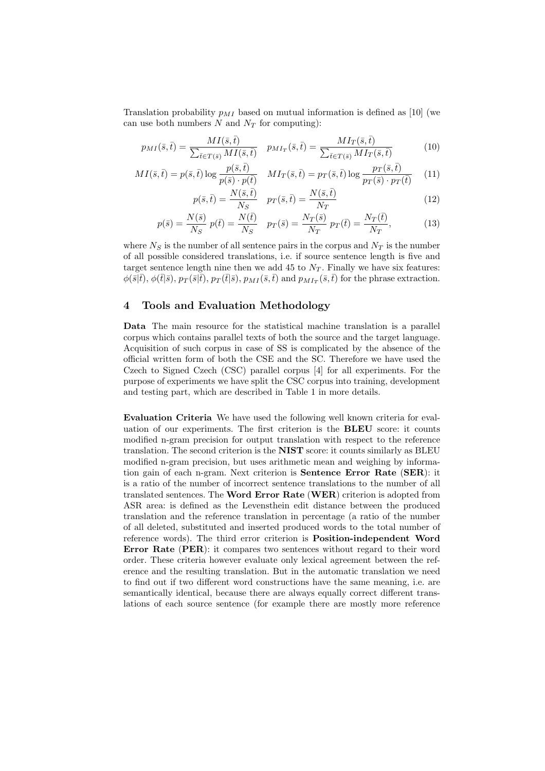Translation probability  $p_{MI}$  based on mutual information is defined as [10] (we can use both numbers  $N$  and  $N_T$  for computing):

$$
p_{MI}(\bar{s},\bar{t}) = \frac{MI(\bar{s},\bar{t})}{\sum_{\bar{t}\in T(\bar{s})}MI(\bar{s},\bar{t})} \quad p_{MI_T}(\bar{s},\bar{t}) = \frac{MI_T(\bar{s},\bar{t})}{\sum_{\bar{t}\in T(\bar{s})}MI_T(\bar{s},\bar{t})} \tag{10}
$$

$$
MI(\bar{s},\bar{t}) = p(\bar{s},\bar{t}) \log \frac{p(\bar{s},\bar{t})}{p(\bar{s}) \cdot p(\bar{t})} \quad MI_T(\bar{s},\bar{t}) = p_T(\bar{s},\bar{t}) \log \frac{p_T(\bar{s},\bar{t})}{p_T(\bar{s}) \cdot p_T(\bar{t})} \tag{11}
$$

$$
p(\bar{s},\bar{t}) = \frac{N(\bar{s},\bar{t})}{N_S} \quad p_T(\bar{s},\bar{t}) = \frac{N(\bar{s},\bar{t})}{N_T} \tag{12}
$$

$$
p(\bar{s}) = \frac{N(\bar{s})}{N_S} p(\bar{t}) = \frac{N(\bar{t})}{N_S} \quad p_T(\bar{s}) = \frac{N_T(\bar{s})}{N_T} p_T(\bar{t}) = \frac{N_T(\bar{t})}{N_T},\tag{13}
$$

where  $N<sub>S</sub>$  is the number of all sentence pairs in the corpus and  $N<sub>T</sub>$  is the number of all possible considered translations, i.e. if source sentence length is five and target sentence length nine then we add 45 to  $N_T$ . Finally we have six features:  $\phi(\bar{s}|\bar{t}), \phi(\bar{t}|\bar{s}), p_T(\bar{s}|\bar{t}), p_T(\bar{t}|\bar{s}), p_{MI}(\bar{s},\bar{t})$  and  $p_{MI_T}(\bar{s},\bar{t})$  for the phrase extraction.

## 4 Tools and Evaluation Methodology

Data The main resource for the statistical machine translation is a parallel corpus which contains parallel texts of both the source and the target language. Acquisition of such corpus in case of SS is complicated by the absence of the official written form of both the CSE and the SC. Therefore we have used the Czech to Signed Czech (CSC) parallel corpus [4] for all experiments. For the purpose of experiments we have split the CSC corpus into training, development and testing part, which are described in Table 1 in more details.

Evaluation Criteria We have used the following well known criteria for evaluation of our experiments. The first criterion is the BLEU score: it counts modified n-gram precision for output translation with respect to the reference translation. The second criterion is the NIST score: it counts similarly as BLEU modified n-gram precision, but uses arithmetic mean and weighing by information gain of each n-gram. Next criterion is Sentence Error Rate (SER): it is a ratio of the number of incorrect sentence translations to the number of all translated sentences. The Word Error Rate (WER) criterion is adopted from ASR area: is defined as the Levensthein edit distance between the produced translation and the reference translation in percentage (a ratio of the number of all deleted, substituted and inserted produced words to the total number of reference words). The third error criterion is Position-independent Word Error Rate (PER): it compares two sentences without regard to their word order. These criteria however evaluate only lexical agreement between the reference and the resulting translation. But in the automatic translation we need to find out if two different word constructions have the same meaning, i.e. are semantically identical, because there are always equally correct different translations of each source sentence (for example there are mostly more reference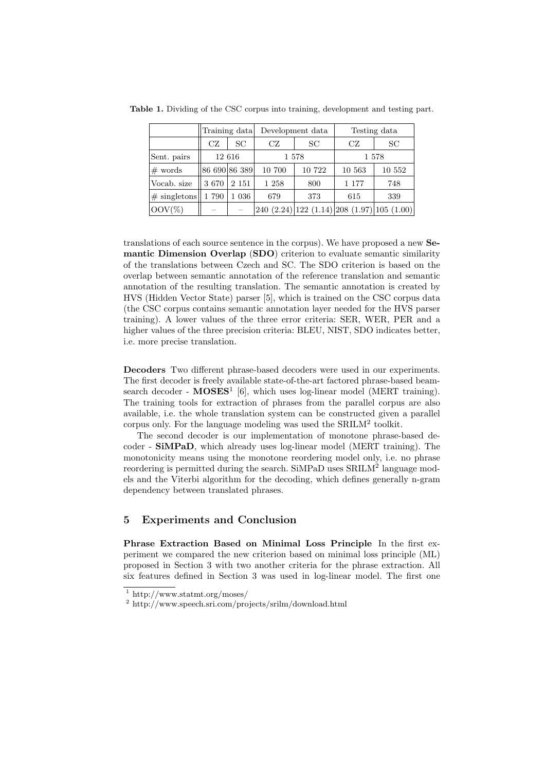|                | Training data            |               | Development data |        | Testing data |                                      |
|----------------|--------------------------|---------------|------------------|--------|--------------|--------------------------------------|
|                | CZ                       | SС            | CZ               | SС     | CZ           | SС                                   |
| Sent. pairs    | 12 616                   |               | 1578             |        | 1578         |                                      |
| #<br>words     |                          | 86 690 86 389 | 10 700           | 10 722 | 10 563       | 10 552                               |
| Vocab. size    | 3670                     | 2 1 5 1       | 1 258            | 800    | 1 177        | 748                                  |
| $#$ singletons | 790<br>1                 | $1\;036$      | 679              | 373    | 615          | 339                                  |
| $OOV(\%)$      | $\overline{\phantom{a}}$ |               | 240              |        |              | (2.24) 122(1.14) 208(1.97) 105(1.00) |

Table 1. Dividing of the CSC corpus into training, development and testing part.

translations of each source sentence in the corpus). We have proposed a new Semantic Dimension Overlap (SDO) criterion to evaluate semantic similarity of the translations between Czech and SC. The SDO criterion is based on the overlap between semantic annotation of the reference translation and semantic annotation of the resulting translation. The semantic annotation is created by HVS (Hidden Vector State) parser [5], which is trained on the CSC corpus data (the CSC corpus contains semantic annotation layer needed for the HVS parser training). A lower values of the three error criteria: SER, WER, PER and a higher values of the three precision criteria: BLEU, NIST, SDO indicates better, i.e. more precise translation.

Decoders Two different phrase-based decoders were used in our experiments. The first decoder is freely available state-of-the-art factored phrase-based beamsearch decoder -  $MOSES<sup>1</sup>$  [6], which uses log-linear model (MERT training). The training tools for extraction of phrases from the parallel corpus are also available, i.e. the whole translation system can be constructed given a parallel corpus only. For the language modeling was used the SRILM<sup>2</sup> toolkit.

The second decoder is our implementation of monotone phrase-based decoder - SiMPaD, which already uses log-linear model (MERT training). The monotonicity means using the monotone reordering model only, i.e. no phrase reordering is permitted during the search. SiMPaD uses  $SRILM<sup>2</sup>$  language models and the Viterbi algorithm for the decoding, which defines generally n-gram dependency between translated phrases.

# 5 Experiments and Conclusion

Phrase Extraction Based on Minimal Loss Principle In the first experiment we compared the new criterion based on minimal loss principle (ML) proposed in Section 3 with two another criteria for the phrase extraction. All six features defined in Section 3 was used in log-linear model. The first one

<sup>1</sup> http://www.statmt.org/moses/

<sup>2</sup> http://www.speech.sri.com/projects/srilm/download.html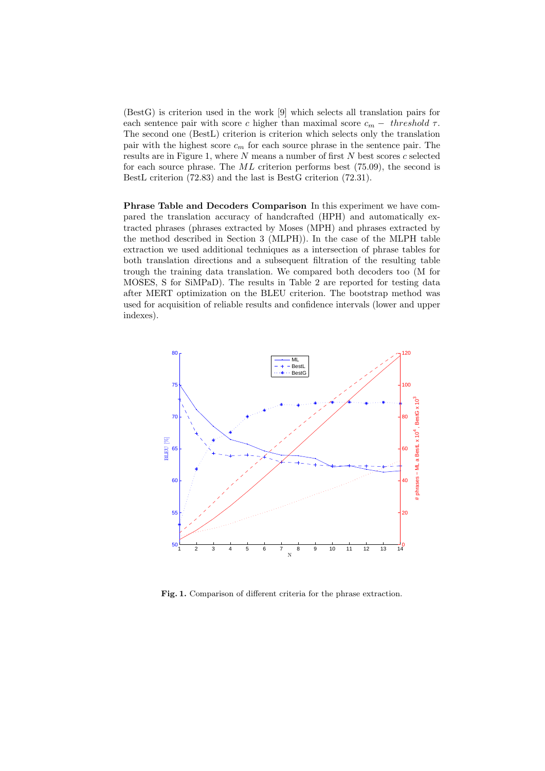(BestG) is criterion used in the work [9] which selects all translation pairs for each sentence pair with score c higher than maximal score  $c_m - threshold \tau$ . The second one (BestL) criterion is criterion which selects only the translation pair with the highest score  $c_m$  for each source phrase in the sentence pair. The results are in Figure 1, where  $N$  means a number of first  $N$  best scores  $c$  selected for each source phrase. The  $ML$  criterion performs best (75.09), the second is BestL criterion (72.83) and the last is BestG criterion (72.31).

Phrase Table and Decoders Comparison In this experiment we have compared the translation accuracy of handcrafted (HPH) and automatically extracted phrases (phrases extracted by Moses (MPH) and phrases extracted by the method described in Section 3 (MLPH)). In the case of the MLPH table extraction we used additional techniques as a intersection of phrase tables for both translation directions and a subsequent filtration of the resulting table trough the training data translation. We compared both decoders too (M for MOSES, S for SiMPaD). The results in Table 2 are reported for testing data after MERT optimization on the BLEU criterion. The bootstrap method was used for acquisition of reliable results and confidence intervals (lower and upper indexes).



Fig. 1. Comparison of different criteria for the phrase extraction.